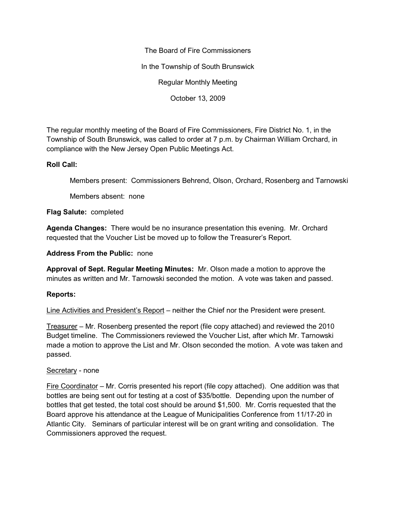The Board of Fire Commissioners In the Township of South Brunswick Regular Monthly Meeting October 13, 2009

The regular monthly meeting of the Board of Fire Commissioners, Fire District No. 1, in the Township of South Brunswick, was called to order at 7 p.m. by Chairman William Orchard, in compliance with the New Jersey Open Public Meetings Act.

## **Roll Call:**

Members present: Commissioners Behrend, Olson, Orchard, Rosenberg and Tarnowski

Members absent: none

**Flag Salute:** completed

**Agenda Changes:** There would be no insurance presentation this evening. Mr. Orchard requested that the Voucher List be moved up to follow the Treasurer's Report.

**Address From the Public:** none

**Approval of Sept. Regular Meeting Minutes:** Mr. Olson made a motion to approve the minutes as written and Mr. Tarnowski seconded the motion. A vote was taken and passed.

## **Reports:**

Line Activities and President's Report – neither the Chief nor the President were present.

Treasurer – Mr. Rosenberg presented the report (file copy attached) and reviewed the 2010 Budget timeline. The Commissioners reviewed the Voucher List, after which Mr. Tarnowski made a motion to approve the List and Mr. Olson seconded the motion. A vote was taken and passed.

## Secretary - none

Fire Coordinator – Mr. Corris presented his report (file copy attached). One addition was that bottles are being sent out for testing at a cost of \$35/bottle. Depending upon the number of bottles that get tested, the total cost should be around \$1,500. Mr. Corris requested that the Board approve his attendance at the League of Municipalities Conference from 11/17-20 in Atlantic City. Seminars of particular interest will be on grant writing and consolidation. The Commissioners approved the request.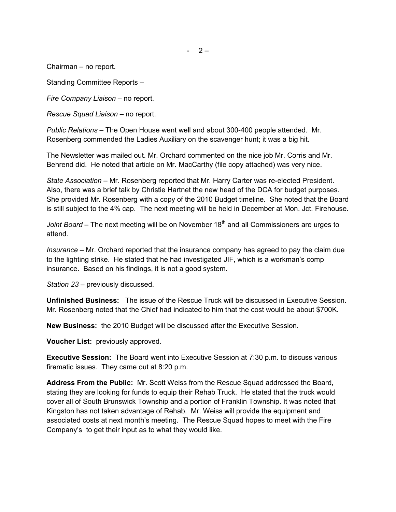Chairman – no report.

Standing Committee Reports –

*Fire Company Liaison –* no report.

*Rescue Squad Liaison –* no report.

*Public Relations –* The Open House went well and about 300-400 people attended. Mr. Rosenberg commended the Ladies Auxiliary on the scavenger hunt; it was a big hit.

The Newsletter was mailed out. Mr. Orchard commented on the nice job Mr. Corris and Mr. Behrend did. He noted that article on Mr. MacCarthy (file copy attached) was very nice.

*State Association –* Mr. Rosenberg reported that Mr. Harry Carter was re-elected President. Also, there was a brief talk by Christie Hartnet the new head of the DCA for budget purposes. She provided Mr. Rosenberg with a copy of the 2010 Budget timeline. She noted that the Board is still subject to the 4% cap. The next meeting will be held in December at Mon. Jct. Firehouse.

*Joint Board* – The next meeting will be on November 18<sup>th</sup> and all Commissioners are urges to attend.

*Insurance –* Mr. Orchard reported that the insurance company has agreed to pay the claim due to the lighting strike. He stated that he had investigated JIF, which is a workman's comp insurance. Based on his findings, it is not a good system.

*Station 23 –* previously discussed.

**Unfinished Business:** The issue of the Rescue Truck will be discussed in Executive Session. Mr. Rosenberg noted that the Chief had indicated to him that the cost would be about \$700K.

**New Business:** the 2010 Budget will be discussed after the Executive Session.

**Voucher List:** previously approved.

**Executive Session:** The Board went into Executive Session at 7:30 p.m. to discuss various firematic issues. They came out at 8:20 p.m.

**Address From the Public:** Mr. Scott Weiss from the Rescue Squad addressed the Board, stating they are looking for funds to equip their Rehab Truck. He stated that the truck would cover all of South Brunswick Township and a portion of Franklin Township. It was noted that Kingston has not taken advantage of Rehab. Mr. Weiss will provide the equipment and associated costs at next month's meeting. The Rescue Squad hopes to meet with the Fire Company's to get their input as to what they would like.